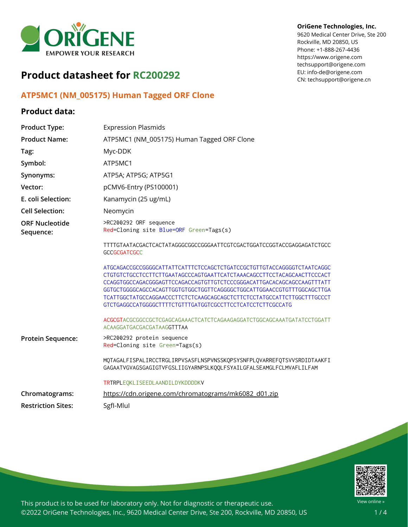

# **Product datasheet for RC200292**

## **ATP5MC1 (NM\_005175) Human Tagged ORF Clone**

### **Product data:**

#### **OriGene Technologies, Inc.**

9620 Medical Center Drive, Ste 200 Rockville, MD 20850, US Phone: +1-888-267-4436 https://www.origene.com techsupport@origene.com EU: info-de@origene.com CN: techsupport@origene.cn

| <b>Product Type:</b>               | <b>Expression Plasmids</b>                                                                                                                                                                                                                                                                                                                                                                                                                   |
|------------------------------------|----------------------------------------------------------------------------------------------------------------------------------------------------------------------------------------------------------------------------------------------------------------------------------------------------------------------------------------------------------------------------------------------------------------------------------------------|
| <b>Product Name:</b>               | ATP5MC1 (NM_005175) Human Tagged ORF Clone                                                                                                                                                                                                                                                                                                                                                                                                   |
| Tag:                               | Myc-DDK                                                                                                                                                                                                                                                                                                                                                                                                                                      |
| Symbol:                            | ATP5MC1                                                                                                                                                                                                                                                                                                                                                                                                                                      |
| Synonyms:                          | ATP5A; ATP5G; ATP5G1                                                                                                                                                                                                                                                                                                                                                                                                                         |
| Vector:                            | pCMV6-Entry (PS100001)                                                                                                                                                                                                                                                                                                                                                                                                                       |
| E. coli Selection:                 | Kanamycin (25 ug/mL)                                                                                                                                                                                                                                                                                                                                                                                                                         |
| <b>Cell Selection:</b>             | Neomycin                                                                                                                                                                                                                                                                                                                                                                                                                                     |
| <b>ORF Nucleotide</b><br>Sequence: | >RC200292 ORF sequence<br>Red=Cloning site Blue=ORF Green=Tags(s)                                                                                                                                                                                                                                                                                                                                                                            |
|                                    | TTTTGTAATACGACTCACTATAGGGCGGCCGGGAATTCGTCGACTGGATCCGGTACCGAGGAGATCTGCC<br><b>GCCGCGATCGCC</b>                                                                                                                                                                                                                                                                                                                                                |
|                                    | ATGCAGACCGCCGGGGCATTATTCATTTCTCCAGCTCTGATCCGCTGTTGTACCAGGGGTCTAATCAGGC<br>CTGTGTCTGCCTCCTTCTTGAATAGCCCAGTGAATTCATCTAAACAGCCTTCCTACAGCAACTTCCCACT<br>CCAGGTGGCCAGACGGGAGTTCCAGACCAGTGTTGTCTCCCGGGACATTGACACAGCAGCCAAGTTTATT<br>GGTGCTGGGGCAGCCACAGTTGGTGTGGCTGGTTCAGGGGCTGGCATTGGAACCGTGTTTGGCAGCTTGA<br>TCATTGGCTATGCCAGGAACCCTTCTCTCAAGCAGCAGCTCTTCTCCTATGCCATTCTTGGCTTTGCCCT<br>GTCTGAGGCCATGGGGCTTTTCTGTTTGATGGTCGCCTTCCTCATCCTCTTCGCCATG |
|                                    | ACGCGTACGCGGCCGCTCGAGCAGAAACTCATCTCAGAAGAGGATCTGGCAGCAAATGATATCCTGGATT<br>ACAAGGATGACGACGATAAGGTTTAA                                                                                                                                                                                                                                                                                                                                         |
| Protein Sequence:                  | >RC200292 protein sequence<br>Red=Cloning site Green=Tags(s)                                                                                                                                                                                                                                                                                                                                                                                 |
|                                    | MOTAGALFISPALIRCCTRGLIRPVSASFLNSPVNSSKOPSYSNFPLOVARREFOTSVVSRDIDTAAKFI<br>GAGAATVGVAGSGAGIGTVFGSLIIGYARNPSLKQQLFSYAILGFALSEAMGLFCLMVAFLILFAM                                                                                                                                                                                                                                                                                                 |
|                                    | TRTRPLEQKLISEEDLAANDILDYKDDDDKV                                                                                                                                                                                                                                                                                                                                                                                                              |
| Chromatograms:                     | https://cdn.origene.com/chromatograms/mk6082_d01.zip                                                                                                                                                                                                                                                                                                                                                                                         |
| <b>Restriction Sites:</b>          | SgfI-Mlul                                                                                                                                                                                                                                                                                                                                                                                                                                    |



This product is to be used for laboratory only. Not for diagnostic or therapeutic use. ©2022 OriGene Technologies, Inc., 9620 Medical Center Drive, Ste 200, Rockville, MD 20850, US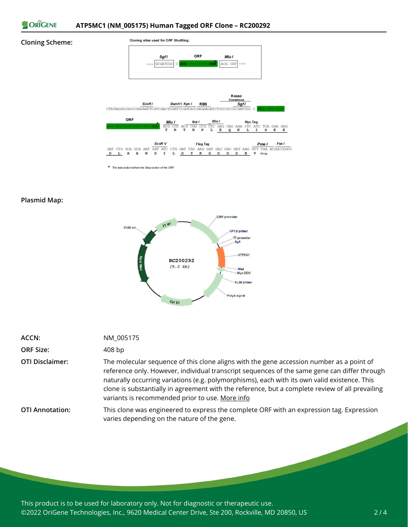

#### **Cloning Scheme:**



\* The last codon before the Stop codon of the ORF

### **Plasmid Map:**



| <b>ACCN:</b>           | NM 005175                                                                                                                                                                                                                                                                                                                                                                                                                                      |
|------------------------|------------------------------------------------------------------------------------------------------------------------------------------------------------------------------------------------------------------------------------------------------------------------------------------------------------------------------------------------------------------------------------------------------------------------------------------------|
| <b>ORF Size:</b>       | 408 bp                                                                                                                                                                                                                                                                                                                                                                                                                                         |
| <b>OTI Disclaimer:</b> | The molecular sequence of this clone aligns with the gene accession number as a point of<br>reference only. However, individual transcript sequences of the same gene can differ through<br>naturally occurring variations (e.g. polymorphisms), each with its own valid existence. This<br>clone is substantially in agreement with the reference, but a complete review of all prevailing<br>variants is recommended prior to use. More info |
| <b>OTI Annotation:</b> | This clone was engineered to express the complete ORF with an expression tag. Expression<br>varies depending on the nature of the gene.                                                                                                                                                                                                                                                                                                        |

This product is to be used for laboratory only. Not for diagnostic or therapeutic use. ©2022 OriGene Technologies, Inc., 9620 Medical Center Drive, Ste 200, Rockville, MD 20850, US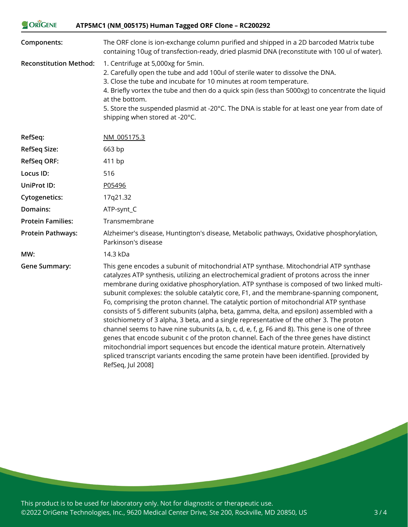| <b>ORIGENE</b>                | ATP5MC1 (NM_005175) Human Tagged ORF Clone - RC200292                                                                                                                                                                                                                                                                                                                                                                                                                                                                                                                                                                                                                                                                                                                                                                                                                                                                                                                                                                                                                  |
|-------------------------------|------------------------------------------------------------------------------------------------------------------------------------------------------------------------------------------------------------------------------------------------------------------------------------------------------------------------------------------------------------------------------------------------------------------------------------------------------------------------------------------------------------------------------------------------------------------------------------------------------------------------------------------------------------------------------------------------------------------------------------------------------------------------------------------------------------------------------------------------------------------------------------------------------------------------------------------------------------------------------------------------------------------------------------------------------------------------|
| Components:                   | The ORF clone is ion-exchange column purified and shipped in a 2D barcoded Matrix tube<br>containing 10ug of transfection-ready, dried plasmid DNA (reconstitute with 100 ul of water).                                                                                                                                                                                                                                                                                                                                                                                                                                                                                                                                                                                                                                                                                                                                                                                                                                                                                |
| <b>Reconstitution Method:</b> | 1. Centrifuge at 5,000xg for 5min.<br>2. Carefully open the tube and add 100ul of sterile water to dissolve the DNA.<br>3. Close the tube and incubate for 10 minutes at room temperature.<br>4. Briefly vortex the tube and then do a quick spin (less than 5000xg) to concentrate the liquid<br>at the bottom.<br>5. Store the suspended plasmid at -20°C. The DNA is stable for at least one year from date of<br>shipping when stored at -20°C.                                                                                                                                                                                                                                                                                                                                                                                                                                                                                                                                                                                                                    |
| RefSeq:                       | NM 005175.3                                                                                                                                                                                                                                                                                                                                                                                                                                                                                                                                                                                                                                                                                                                                                                                                                                                                                                                                                                                                                                                            |
| <b>RefSeq Size:</b>           | 663 bp                                                                                                                                                                                                                                                                                                                                                                                                                                                                                                                                                                                                                                                                                                                                                                                                                                                                                                                                                                                                                                                                 |
| <b>RefSeq ORF:</b>            | 411 bp                                                                                                                                                                                                                                                                                                                                                                                                                                                                                                                                                                                                                                                                                                                                                                                                                                                                                                                                                                                                                                                                 |
| Locus ID:                     | 516                                                                                                                                                                                                                                                                                                                                                                                                                                                                                                                                                                                                                                                                                                                                                                                                                                                                                                                                                                                                                                                                    |
| UniProt ID:                   | P05496                                                                                                                                                                                                                                                                                                                                                                                                                                                                                                                                                                                                                                                                                                                                                                                                                                                                                                                                                                                                                                                                 |
| <b>Cytogenetics:</b>          | 17q21.32                                                                                                                                                                                                                                                                                                                                                                                                                                                                                                                                                                                                                                                                                                                                                                                                                                                                                                                                                                                                                                                               |
| Domains:                      | ATP-synt_C                                                                                                                                                                                                                                                                                                                                                                                                                                                                                                                                                                                                                                                                                                                                                                                                                                                                                                                                                                                                                                                             |
| <b>Protein Families:</b>      | Transmembrane                                                                                                                                                                                                                                                                                                                                                                                                                                                                                                                                                                                                                                                                                                                                                                                                                                                                                                                                                                                                                                                          |
| <b>Protein Pathways:</b>      | Alzheimer's disease, Huntington's disease, Metabolic pathways, Oxidative phosphorylation,<br>Parkinson's disease                                                                                                                                                                                                                                                                                                                                                                                                                                                                                                                                                                                                                                                                                                                                                                                                                                                                                                                                                       |
| MW:                           | 14.3 kDa                                                                                                                                                                                                                                                                                                                                                                                                                                                                                                                                                                                                                                                                                                                                                                                                                                                                                                                                                                                                                                                               |
| <b>Gene Summary:</b>          | This gene encodes a subunit of mitochondrial ATP synthase. Mitochondrial ATP synthase<br>catalyzes ATP synthesis, utilizing an electrochemical gradient of protons across the inner<br>membrane during oxidative phosphorylation. ATP synthase is composed of two linked multi-<br>subunit complexes: the soluble catalytic core, F1, and the membrane-spanning component,<br>Fo, comprising the proton channel. The catalytic portion of mitochondrial ATP synthase<br>consists of 5 different subunits (alpha, beta, gamma, delta, and epsilon) assembled with a<br>stoichiometry of 3 alpha, 3 beta, and a single representative of the other 3. The proton<br>channel seems to have nine subunits (a, b, c, d, e, f, g, F6 and 8). This gene is one of three<br>genes that encode subunit c of the proton channel. Each of the three genes have distinct<br>mitochondrial import sequences but encode the identical mature protein. Alternatively<br>spliced transcript variants encoding the same protein have been identified. [provided by<br>RefSeq, Jul 2008] |

This product is to be used for laboratory only. Not for diagnostic or therapeutic use. ©2022 OriGene Technologies, Inc., 9620 Medical Center Drive, Ste 200, Rockville, MD 20850, US